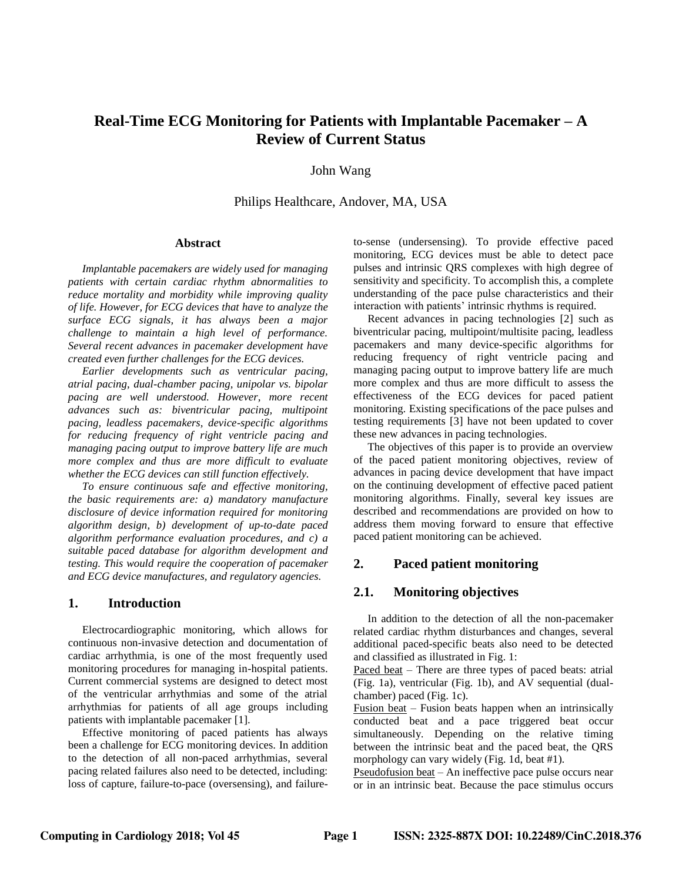# **Real-Time ECG Monitoring for Patients with Implantable Pacemaker – A Review of Current Status**

John Wang

Philips Healthcare, Andover, MA, USA

#### **Abstract**

 *Implantable pacemakers are widely used for managing patients with certain cardiac rhythm abnormalities to reduce mortality and morbidity while improving quality of life. However, for ECG devices that have to analyze the surface ECG signals, it has always been a major challenge to maintain a high level of performance. Several recent advances in pacemaker development have created even further challenges for the ECG devices.*

 *Earlier developments such as ventricular pacing, atrial pacing, dual-chamber pacing, unipolar vs. bipolar pacing are well understood. However, more recent advances such as: biventricular pacing, multipoint pacing, leadless pacemakers, device-specific algorithms for reducing frequency of right ventricle pacing and managing pacing output to improve battery life are much more complex and thus are more difficult to evaluate whether the ECG devices can still function effectively.* 

 *To ensure continuous safe and effective monitoring, the basic requirements are: a) mandatory manufacture disclosure of device information required for monitoring algorithm design, b) development of up-to-date paced algorithm performance evaluation procedures, and c) a suitable paced database for algorithm development and testing. This would require the cooperation of pacemaker and ECG device manufactures, and regulatory agencies.* 

#### **1. Introduction**

 Electrocardiographic monitoring, which allows for continuous non-invasive detection and documentation of cardiac arrhythmia, is one of the most frequently used monitoring procedures for managing in-hospital patients. Current commercial systems are designed to detect most of the ventricular arrhythmias and some of the atrial arrhythmias for patients of all age groups including patients with implantable pacemaker [1].

 Effective monitoring of paced patients has always been a challenge for ECG monitoring devices. In addition to the detection of all non-paced arrhythmias, several pacing related failures also need to be detected, including: loss of capture, failure-to-pace (oversensing), and failureto-sense (undersensing). To provide effective paced monitoring, ECG devices must be able to detect pace pulses and intrinsic QRS complexes with high degree of sensitivity and specificity. To accomplish this, a complete understanding of the pace pulse characteristics and their interaction with patients' intrinsic rhythms is required.

 Recent advances in pacing technologies [2] such as biventricular pacing, multipoint/multisite pacing, leadless pacemakers and many device-specific algorithms for reducing frequency of right ventricle pacing and managing pacing output to improve battery life are much more complex and thus are more difficult to assess the effectiveness of the ECG devices for paced patient monitoring. Existing specifications of the pace pulses and testing requirements [3] have not been updated to cover these new advances in pacing technologies.

 The objectives of this paper is to provide an overview of the paced patient monitoring objectives, review of advances in pacing device development that have impact on the continuing development of effective paced patient monitoring algorithms. Finally, several key issues are described and recommendations are provided on how to address them moving forward to ensure that effective paced patient monitoring can be achieved.

### **2. Paced patient monitoring**

### **2.1. Monitoring objectives**

 In addition to the detection of all the non-pacemaker related cardiac rhythm disturbances and changes, several additional paced-specific beats also need to be detected and classified as illustrated in Fig. 1:

Paced beat – There are three types of paced beats: atrial (Fig. 1a), ventricular (Fig. 1b), and AV sequential (dualchamber) paced (Fig. 1c).

Fusion beat – Fusion beats happen when an intrinsically conducted beat and a pace triggered beat occur simultaneously. Depending on the relative timing between the intrinsic beat and the paced beat, the QRS morphology can vary widely (Fig. 1d, beat #1).

Pseudofusion beat – An ineffective pace pulse occurs near or in an intrinsic beat. Because the pace stimulus occurs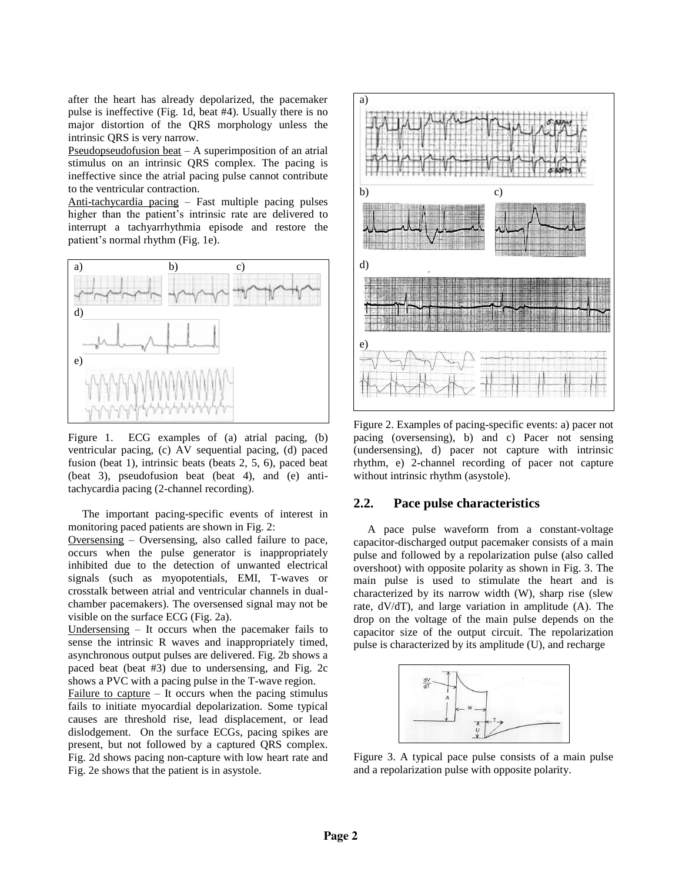after the heart has already depolarized, the pacemaker pulse is ineffective (Fig. 1d, beat #4). Usually there is no major distortion of the QRS morphology unless the intrinsic QRS is very narrow.

Pseudopseudofusion beat  $-$  A superimposition of an atrial stimulus on an intrinsic QRS complex. The pacing is ineffective since the atrial pacing pulse cannot contribute to the ventricular contraction.

Anti-tachycardia pacing – Fast multiple pacing pulses higher than the patient's intrinsic rate are delivered to interrupt a tachyarrhythmia episode and restore the patient's normal rhythm (Fig. 1e).



Figure 1. ECG examples of (a) atrial pacing, (b) ventricular pacing, (c) AV sequential pacing, (d) paced fusion (beat 1), intrinsic beats (beats 2, 5, 6), paced beat (beat 3), pseudofusion beat (beat 4), and (e) antitachycardia pacing (2-channel recording).

 The important pacing-specific events of interest in monitoring paced patients are shown in Fig. 2:

Oversensing – Oversensing, also called failure to pace, occurs when the pulse generator is inappropriately inhibited due to the detection of unwanted electrical signals (such as myopotentials, EMI, T-waves or crosstalk between atrial and ventricular channels in dualchamber pacemakers). The oversensed signal may not be visible on the surface ECG (Fig. 2a).

Undersensing – It occurs when the pacemaker fails to sense the intrinsic R waves and inappropriately timed, asynchronous output pulses are delivered. Fig. 2b shows a paced beat (beat #3) due to undersensing, and Fig. 2c shows a PVC with a pacing pulse in the T-wave region.

Failure to capture  $-$  It occurs when the pacing stimulus fails to initiate myocardial depolarization. Some typical causes are threshold rise, lead displacement, or lead dislodgement. On the surface ECGs, pacing spikes are present, but not followed by a captured QRS complex. Fig. 2d shows pacing non-capture with low heart rate and Fig. 2e shows that the patient is in asystole.



Figure 2. Examples of pacing-specific events: a) pacer not pacing (oversensing), b) and c) Pacer not sensing (undersensing), d) pacer not capture with intrinsic rhythm, e) 2-channel recording of pacer not capture without intrinsic rhythm (asystole).

### **2.2. Pace pulse characteristics**

 A pace pulse waveform from a constant-voltage capacitor-discharged output pacemaker consists of a main pulse and followed by a repolarization pulse (also called overshoot) with opposite polarity as shown in Fig. 3. The main pulse is used to stimulate the heart and is characterized by its narrow width (W), sharp rise (slew rate, dV/dT), and large variation in amplitude (A). The drop on the voltage of the main pulse depends on the capacitor size of the output circuit. The repolarization pulse is characterized by its amplitude (U), and recharge



Figure 3. A typical pace pulse consists of a main pulse and a repolarization pulse with opposite polarity.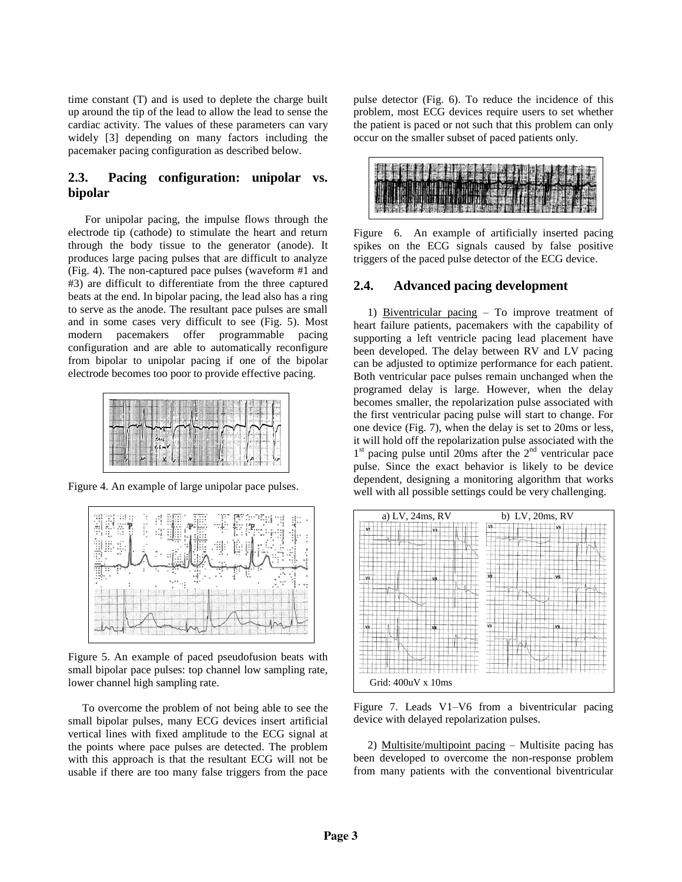time constant (T) and is used to deplete the charge built up around the tip of the lead to allow the lead to sense the cardiac activity. The values of these parameters can vary widely [3] depending on many factors including the pacemaker pacing configuration as described below.

## **2.3. Pacing configuration: unipolar vs. bipolar**

 For unipolar pacing, the impulse flows through the electrode tip (cathode) to stimulate the heart and return through the body tissue to the generator (anode). It produces large pacing pulses that are difficult to analyze (Fig. 4). The non-captured pace pulses (waveform #1 and #3) are difficult to differentiate from the three captured beats at the end. In bipolar pacing, the lead also has a ring to serve as the anode. The resultant pace pulses are small and in some cases very difficult to see (Fig. 5). Most modern pacemakers offer programmable pacing configuration and are able to automatically reconfigure from bipolar to unipolar pacing if one of the bipolar electrode becomes too poor to provide effective pacing.



Figure 4. An example of large unipolar pace pulses.



Figure 5. An example of paced pseudofusion beats with small bipolar pace pulses: top channel low sampling rate, lower channel high sampling rate.

 To overcome the problem of not being able to see the small bipolar pulses, many ECG devices insert artificial vertical lines with fixed amplitude to the ECG signal at the points where pace pulses are detected. The problem with this approach is that the resultant ECG will not be usable if there are too many false triggers from the pace pulse detector (Fig. 6). To reduce the incidence of this problem, most ECG devices require users to set whether the patient is paced or not such that this problem can only occur on the smaller subset of paced patients only.

Figure 6. An example of artificially inserted pacing spikes on the ECG signals caused by false positive triggers of the paced pulse detector of the ECG device.

#### **2.4. Advanced pacing development**

 1) Biventricular pacing – To improve treatment of heart failure patients, pacemakers with the capability of supporting a left ventricle pacing lead placement have been developed. The delay between RV and LV pacing can be adjusted to optimize performance for each patient. Both ventricular pace pulses remain unchanged when the programed delay is large. However, when the delay becomes smaller, the repolarization pulse associated with the first ventricular pacing pulse will start to change. For one device (Fig. 7), when the delay is set to 20ms or less, it will hold off the repolarization pulse associated with the 1<sup>st</sup> pacing pulse until 20ms after the 2<sup>nd</sup> ventricular pace pulse. Since the exact behavior is likely to be device dependent, designing a monitoring algorithm that works well with all possible settings could be very challenging.



Figure 7. Leads V1–V6 from a biventricular pacing device with delayed repolarization pulses.

 2) Multisite/multipoint pacing – Multisite pacing has been developed to overcome the non-response problem from many patients with the conventional biventricular